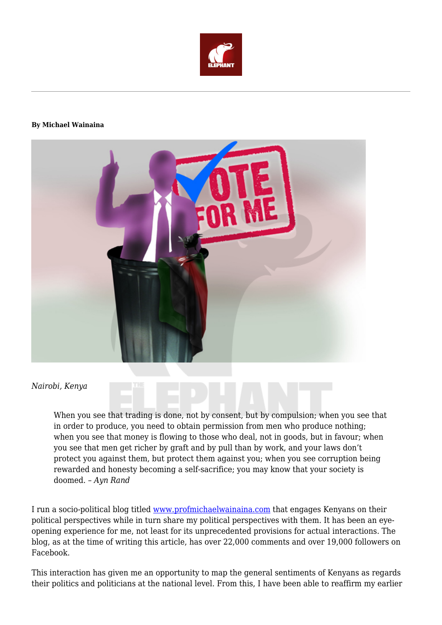

#### **By Michael Wainaina**



#### *Nairobi, Kenya*

When you see that trading is done, not by consent, but by compulsion; when you see that in order to produce, you need to obtain permission from men who produce nothing; when you see that money is flowing to those who deal, not in goods, but in favour; when you see that men get richer by graft and by pull than by work, and your laws don't protect you against them, but protect them against you; when you see corruption being rewarded and honesty becoming a self-sacrifice; you may know that your society is doomed. – *Ayn Rand*

I run a socio-political blog titled [www.profmichaelwainaina.com](http://www.profmichaelwainaina.com/) that engages Kenyans on their political perspectives while in turn share my political perspectives with them. It has been an eyeopening experience for me, not least for its unprecedented provisions for actual interactions. The blog, as at the time of writing this article, has over 22,000 comments and over 19,000 followers on Facebook.

This interaction has given me an opportunity to map the general sentiments of Kenyans as regards their politics and politicians at the national level. From this, I have been able to reaffirm my earlier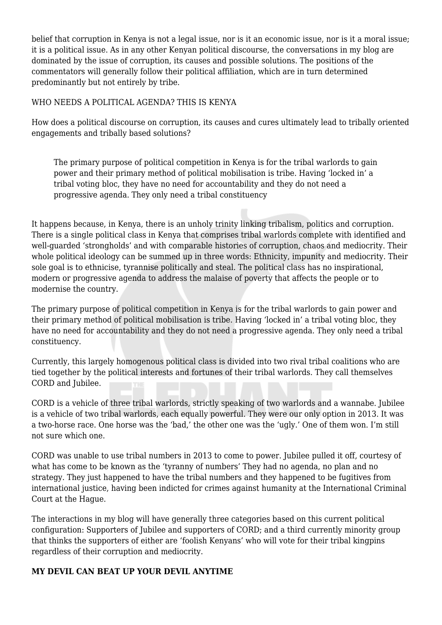belief that corruption in Kenya is not a legal issue, nor is it an economic issue, nor is it a moral issue; it is a political issue. As in any other Kenyan political discourse, the conversations in my blog are dominated by the issue of corruption, its causes and possible solutions. The positions of the commentators will generally follow their political affiliation, which are in turn determined predominantly but not entirely by tribe.

#### WHO NEEDS A POLITICAL AGENDA? THIS IS KENYA

How does a political discourse on corruption, its causes and cures ultimately lead to tribally oriented engagements and tribally based solutions?

The primary purpose of political competition in Kenya is for the tribal warlords to gain power and their primary method of political mobilisation is tribe. Having 'locked in' a tribal voting bloc, they have no need for accountability and they do not need a progressive agenda. They only need a tribal constituency

It happens because, in Kenya, there is an unholy trinity linking tribalism, politics and corruption. There is a single political class in Kenya that comprises tribal warlords complete with identified and well-guarded 'strongholds' and with comparable histories of corruption, chaos and mediocrity. Their whole political ideology can be summed up in three words: Ethnicity, impunity and mediocrity. Their sole goal is to ethnicise, tyrannise politically and steal. The political class has no inspirational, modern or progressive agenda to address the malaise of poverty that affects the people or to modernise the country.

The primary purpose of political competition in Kenya is for the tribal warlords to gain power and their primary method of political mobilisation is tribe. Having 'locked in' a tribal voting bloc, they have no need for accountability and they do not need a progressive agenda. They only need a tribal constituency.

Currently, this largely homogenous political class is divided into two rival tribal coalitions who are tied together by the political interests and fortunes of their tribal warlords. They call themselves CORD and Jubilee.

CORD is a vehicle of three tribal warlords, strictly speaking of two warlords and a wannabe. Jubilee is a vehicle of two tribal warlords, each equally powerful. They were our only option in 2013. It was a two-horse race. One horse was the 'bad,' the other one was the 'ugly.' One of them won. I'm still not sure which one.

CORD was unable to use tribal numbers in 2013 to come to power. Jubilee pulled it off, courtesy of what has come to be known as the 'tyranny of numbers' They had no agenda, no plan and no strategy. They just happened to have the tribal numbers and they happened to be fugitives from international justice, having been indicted for crimes against humanity at the International Criminal Court at the Hague.

The interactions in my blog will have generally three categories based on this current political configuration: Supporters of Jubilee and supporters of CORD; and a third currently minority group that thinks the supporters of either are 'foolish Kenyans' who will vote for their tribal kingpins regardless of their corruption and mediocrity.

## **MY DEVIL CAN BEAT UP YOUR DEVIL ANYTIME**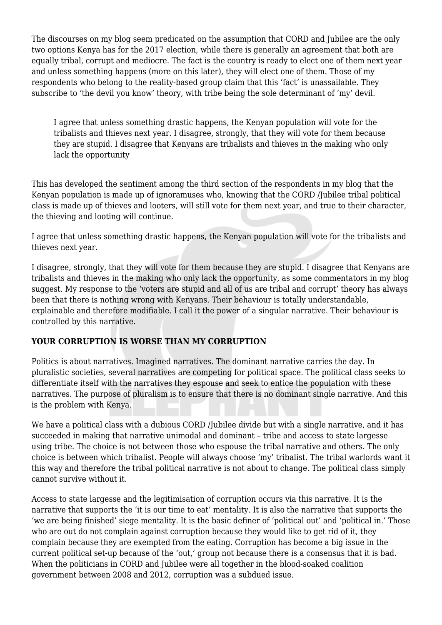The discourses on my blog seem predicated on the assumption that CORD and Jubilee are the only two options Kenya has for the 2017 election, while there is generally an agreement that both are equally tribal, corrupt and mediocre. The fact is the country is ready to elect one of them next year and unless something happens (more on this later), they will elect one of them. Those of my respondents who belong to the reality-based group claim that this 'fact' is unassailable. They subscribe to 'the devil you know' theory, with tribe being the sole determinant of 'my' devil.

I agree that unless something drastic happens, the Kenyan population will vote for the tribalists and thieves next year. I disagree, strongly, that they will vote for them because they are stupid. I disagree that Kenyans are tribalists and thieves in the making who only lack the opportunity

This has developed the sentiment among the third section of the respondents in my blog that the Kenyan population is made up of ignoramuses who, knowing that the CORD /Jubilee tribal political class is made up of thieves and looters, will still vote for them next year, and true to their character, the thieving and looting will continue.

I agree that unless something drastic happens, the Kenyan population will vote for the tribalists and thieves next year.

I disagree, strongly, that they will vote for them because they are stupid. I disagree that Kenyans are tribalists and thieves in the making who only lack the opportunity, as some commentators in my blog suggest. My response to the 'voters are stupid and all of us are tribal and corrupt' theory has always been that there is nothing wrong with Kenyans. Their behaviour is totally understandable, explainable and therefore modifiable. I call it the power of a singular narrative. Their behaviour is controlled by this narrative.

## **YOUR CORRUPTION IS WORSE THAN MY CORRUPTION**

Politics is about narratives. Imagined narratives. The dominant narrative carries the day. In pluralistic societies, several narratives are competing for political space. The political class seeks to differentiate itself with the narratives they espouse and seek to entice the population with these narratives. The purpose of pluralism is to ensure that there is no dominant single narrative. And this is the problem with Kenya.

We have a political class with a dubious CORD *(Jubilee divide but with a single narrative, and it has* succeeded in making that narrative unimodal and dominant – tribe and access to state largesse using tribe. The choice is not between those who espouse the tribal narrative and others. The only choice is between which tribalist. People will always choose 'my' tribalist. The tribal warlords want it this way and therefore the tribal political narrative is not about to change. The political class simply cannot survive without it.

Access to state largesse and the legitimisation of corruption occurs via this narrative. It is the narrative that supports the 'it is our time to eat' mentality. It is also the narrative that supports the 'we are being finished' siege mentality. It is the basic definer of 'political out' and 'political in.' Those who are out do not complain against corruption because they would like to get rid of it, they complain because they are exempted from the eating. Corruption has become a big issue in the current political set-up because of the 'out,' group not because there is a consensus that it is bad. When the politicians in CORD and Jubilee were all together in the blood-soaked coalition government between 2008 and 2012, corruption was a subdued issue.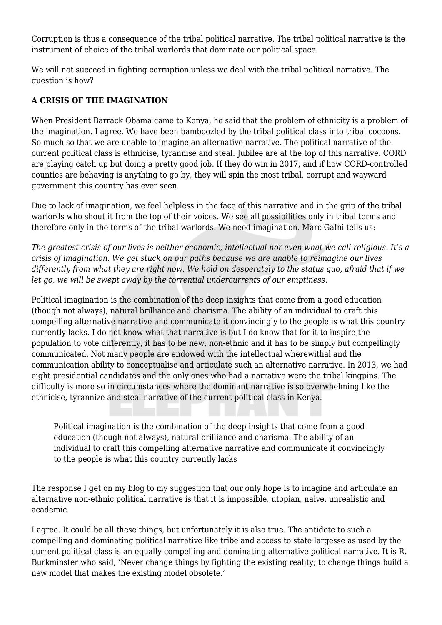Corruption is thus a consequence of the tribal political narrative. The tribal political narrative is the instrument of choice of the tribal warlords that dominate our political space.

We will not succeed in fighting corruption unless we deal with the tribal political narrative. The question is how?

# **A CRISIS OF THE IMAGINATION**

When President Barrack Obama came to Kenya, he said that the problem of ethnicity is a problem of the imagination. I agree. We have been bamboozled by the tribal political class into tribal cocoons. So much so that we are unable to imagine an alternative narrative. The political narrative of the current political class is ethnicise, tyrannise and steal. Jubilee are at the top of this narrative. CORD are playing catch up but doing a pretty good job. If they do win in 2017, and if how CORD-controlled counties are behaving is anything to go by, they will spin the most tribal, corrupt and wayward government this country has ever seen.

Due to lack of imagination, we feel helpless in the face of this narrative and in the grip of the tribal warlords who shout it from the top of their voices. We see all possibilities only in tribal terms and therefore only in the terms of the tribal warlords. We need imagination. Marc Gafni tells us:

*The greatest crisis of our lives is neither economic, intellectual nor even what we call religious. It's a crisis of imagination. We get stuck on our paths because we are unable to reimagine our lives differently from what they are right now. We hold on desperately to the status quo, afraid that if we let go, we will be swept away by the torrential undercurrents of our emptiness.*

Political imagination is the combination of the deep insights that come from a good education (though not always), natural brilliance and charisma. The ability of an individual to craft this compelling alternative narrative and communicate it convincingly to the people is what this country currently lacks. I do not know what that narrative is but I do know that for it to inspire the population to vote differently, it has to be new, non-ethnic and it has to be simply but compellingly communicated. Not many people are endowed with the intellectual wherewithal and the communication ability to conceptualise and articulate such an alternative narrative. In 2013, we had eight presidential candidates and the only ones who had a narrative were the tribal kingpins. The difficulty is more so in circumstances where the dominant narrative is so overwhelming like the ethnicise, tyrannize and steal narrative of the current political class in Kenya.

Political imagination is the combination of the deep insights that come from a good education (though not always), natural brilliance and charisma. The ability of an individual to craft this compelling alternative narrative and communicate it convincingly to the people is what this country currently lacks

The response I get on my blog to my suggestion that our only hope is to imagine and articulate an alternative non-ethnic political narrative is that it is impossible, utopian, naive, unrealistic and academic.

I agree. It could be all these things, but unfortunately it is also true. The antidote to such a compelling and dominating political narrative like tribe and access to state largesse as used by the current political class is an equally compelling and dominating alternative political narrative. It is R. Burkminster who said, 'Never change things by fighting the existing reality; to change things build a new model that makes the existing model obsolete.'